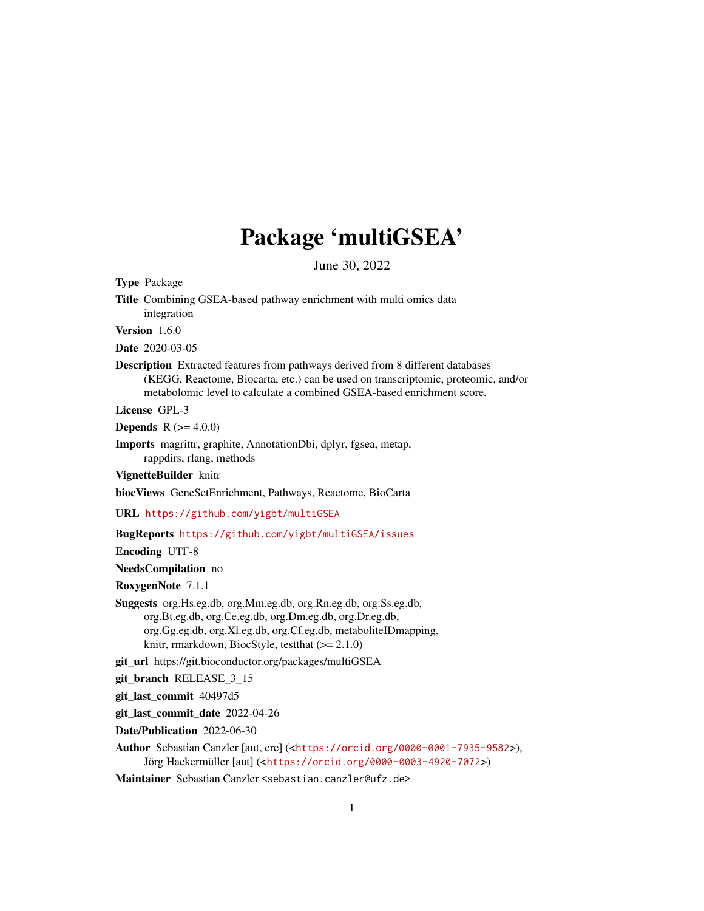# Package 'multiGSEA'

June 30, 2022

<span id="page-0-0"></span>Type Package

Title Combining GSEA-based pathway enrichment with multi omics data integration

Version 1.6.0

Date 2020-03-05

Description Extracted features from pathways derived from 8 different databases (KEGG, Reactome, Biocarta, etc.) can be used on transcriptomic, proteomic, and/or metabolomic level to calculate a combined GSEA-based enrichment score.

License GPL-3

**Depends** R  $(>= 4.0.0)$ 

Imports magrittr, graphite, AnnotationDbi, dplyr, fgsea, metap, rappdirs, rlang, methods

VignetteBuilder knitr

biocViews GeneSetEnrichment, Pathways, Reactome, BioCarta

URL <https://github.com/yigbt/multiGSEA>

#### BugReports <https://github.com/yigbt/multiGSEA/issues>

Encoding UTF-8

NeedsCompilation no

RoxygenNote 7.1.1

Suggests org.Hs.eg.db, org.Mm.eg.db, org.Rn.eg.db, org.Ss.eg.db, org.Bt.eg.db, org.Ce.eg.db, org.Dm.eg.db, org.Dr.eg.db, org.Gg.eg.db, org.Xl.eg.db, org.Cf.eg.db, metaboliteIDmapping, knitr, rmarkdown, BiocStyle, testthat (>= 2.1.0)

git\_url https://git.bioconductor.org/packages/multiGSEA

git\_branch RELEASE\_3\_15

git\_last\_commit 40497d5

git last commit date 2022-04-26

Date/Publication 2022-06-30

Author Sebastian Canzler [aut, cre] (<<https://orcid.org/0000-0001-7935-9582>>), Jörg Hackermüller [aut] (<<https://orcid.org/0000-0003-4920-7072>>)

Maintainer Sebastian Canzler <sebastian.canzler@ufz.de>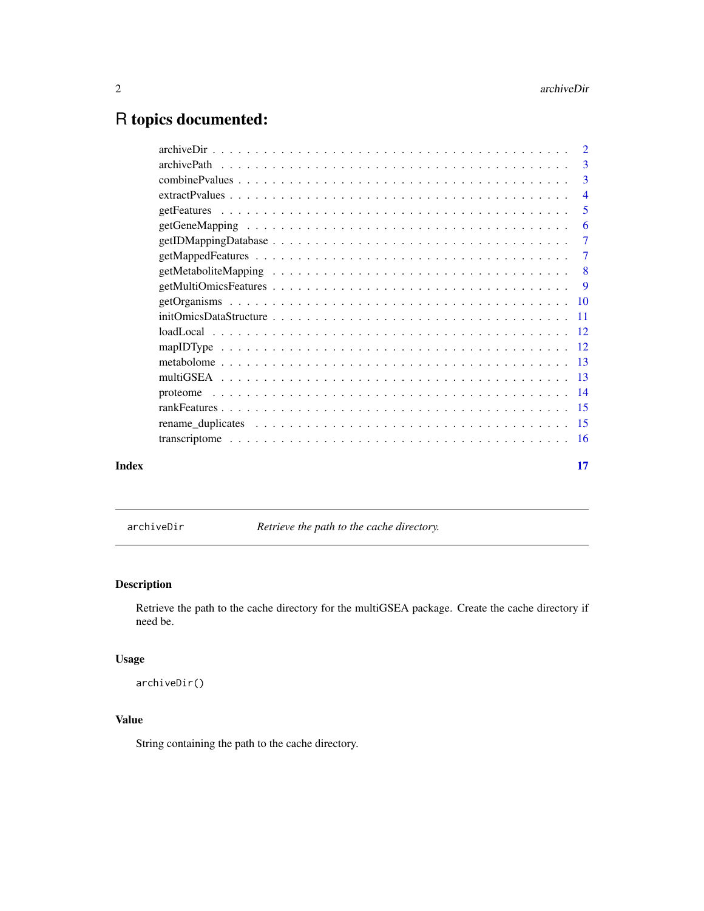## <span id="page-1-0"></span>R topics documented:

|       |                                                                                                                                      | -3             |
|-------|--------------------------------------------------------------------------------------------------------------------------------------|----------------|
|       |                                                                                                                                      | $\overline{3}$ |
|       |                                                                                                                                      | $\overline{4}$ |
|       |                                                                                                                                      | 5              |
|       |                                                                                                                                      | -6             |
|       |                                                                                                                                      | $\overline{7}$ |
|       |                                                                                                                                      | $\overline{7}$ |
|       |                                                                                                                                      |                |
|       |                                                                                                                                      | 9              |
|       |                                                                                                                                      |                |
|       | $initOmicsDataStructure \dots \dots \dots \dots \dots \dots \dots \dots \dots \dots \dots \dots \dots \dots \dots \dots \dots \dots$ |                |
|       |                                                                                                                                      |                |
|       |                                                                                                                                      |                |
|       |                                                                                                                                      |                |
|       |                                                                                                                                      |                |
|       |                                                                                                                                      |                |
|       |                                                                                                                                      |                |
|       |                                                                                                                                      |                |
|       |                                                                                                                                      |                |
| Index |                                                                                                                                      | 17             |

archiveDir *Retrieve the path to the cache directory.*

### Description

Retrieve the path to the cache directory for the multiGSEA package. Create the cache directory if need be.

### Usage

archiveDir()

#### Value

String containing the path to the cache directory.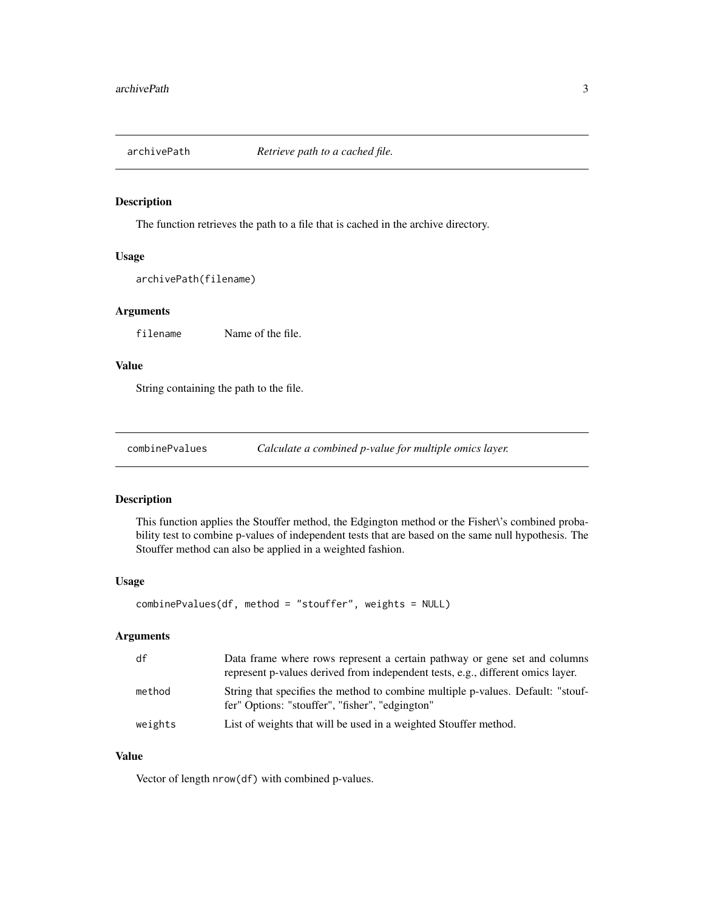<span id="page-2-0"></span>

#### Description

The function retrieves the path to a file that is cached in the archive directory.

#### Usage

```
archivePath(filename)
```
#### Arguments

filename Name of the file.

#### Value

String containing the path to the file.

combinePvalues *Calculate a combined p-value for multiple omics layer.*

#### Description

This function applies the Stouffer method, the Edgington method or the Fisher\'s combined probability test to combine p-values of independent tests that are based on the same null hypothesis. The Stouffer method can also be applied in a weighted fashion.

#### Usage

```
combinePvalues(df, method = "stouffer", weights = NULL)
```
#### Arguments

| df      | Data frame where rows represent a certain pathway or gene set and columns<br>represent p-values derived from independent tests, e.g., different omics layer. |
|---------|--------------------------------------------------------------------------------------------------------------------------------------------------------------|
| method  | String that specifies the method to combine multiple p-values. Default: "stouf-<br>fer" Options: "stouffer", "fisher", "edgington"                           |
| weights | List of weights that will be used in a weighted Stouffer method.                                                                                             |

#### Value

Vector of length nrow(df) with combined p-values.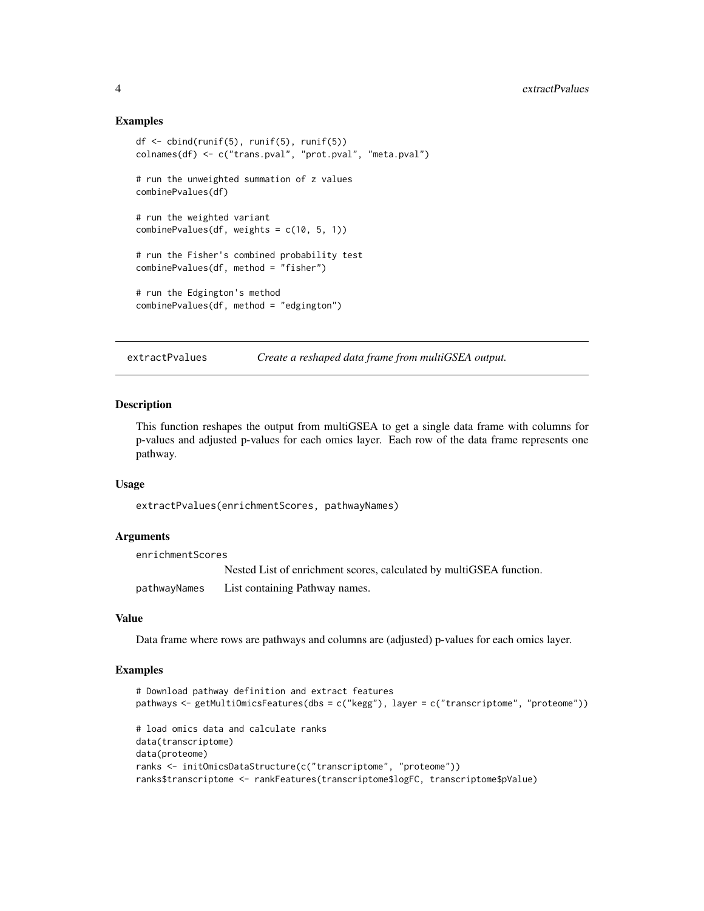#### Examples

```
df <- cbind(runif(5), runif(5), runif(5))
colnames(df) <- c("trans.pval", "prot.pval", "meta.pval")
# run the unweighted summation of z values
combinePvalues(df)
# run the weighted variant
combinePvalues(df, weights = c(10, 5, 1))
# run the Fisher's combined probability test
combinePvalues(df, method = "fisher")
# run the Edgington's method
combinePvalues(df, method = "edgington")
```
extractPvalues *Create a reshaped data frame from multiGSEA output.*

#### Description

This function reshapes the output from multiGSEA to get a single data frame with columns for p-values and adjusted p-values for each omics layer. Each row of the data frame represents one pathway.

#### Usage

extractPvalues(enrichmentScores, pathwayNames)

#### Arguments

| enrichmentScores |                                                                     |  |
|------------------|---------------------------------------------------------------------|--|
|                  | Nested List of enrichment scores, calculated by multiGSEA function. |  |
| pathwayNames     | List containing Pathway names.                                      |  |

#### Value

Data frame where rows are pathways and columns are (adjusted) p-values for each omics layer.

#### Examples

```
# Download pathway definition and extract features
pathways <- getMultiOmicsFeatures(dbs = c("kegg"), layer = c("transcriptome", "proteome"))
# load omics data and calculate ranks
data(transcriptome)
data(proteome)
ranks <- initOmicsDataStructure(c("transcriptome", "proteome"))
ranks$transcriptome <- rankFeatures(transcriptome$logFC, transcriptome$pValue)
```
<span id="page-3-0"></span>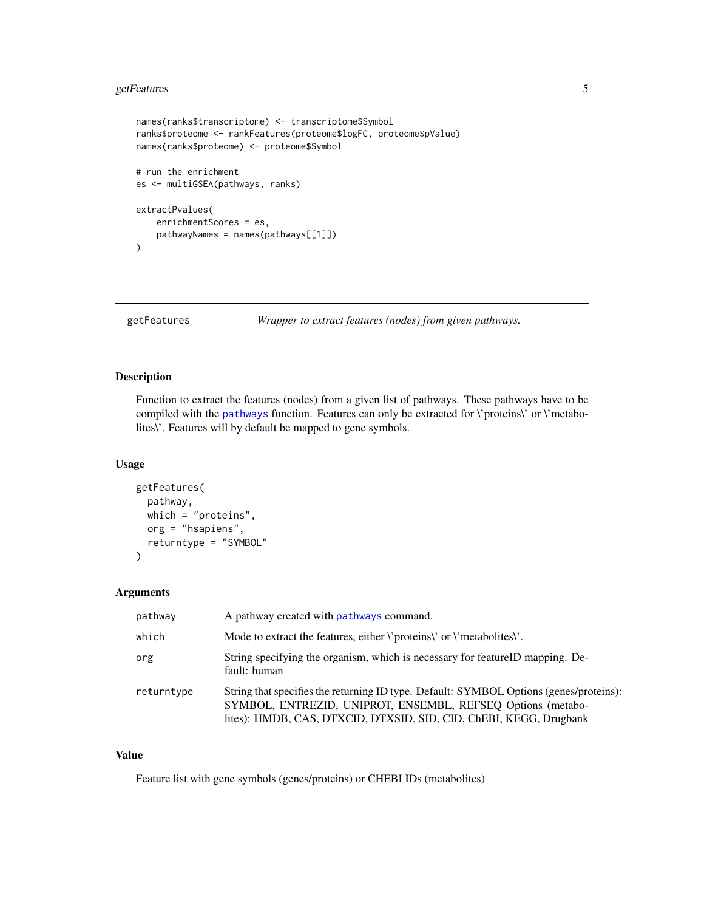#### <span id="page-4-0"></span>getFeatures 5

```
names(ranks$transcriptome) <- transcriptome$Symbol
ranks$proteome <- rankFeatures(proteome$logFC, proteome$pValue)
names(ranks$proteome) <- proteome$Symbol
# run the enrichment
es <- multiGSEA(pathways, ranks)
extractPvalues(
    enrichmentScores = es,
   pathwayNames = names(pathways[[1]])
)
```
getFeatures *Wrapper to extract features (nodes) from given pathways.*

#### Description

Function to extract the features (nodes) from a given list of pathways. These pathways have to be compiled with the [pathways](#page-0-0) function. Features can only be extracted for *\'proteins\'* or *\'metabo*lites\'. Features will by default be mapped to gene symbols.

#### Usage

```
getFeatures(
 pathway,
 which = "proteins",
  org = "hsapiens",
  returntype = "SYMBOL"
)
```
#### Arguments

| pathway    | A pathway created with pathways command.                                                                                                                                                                                    |
|------------|-----------------------------------------------------------------------------------------------------------------------------------------------------------------------------------------------------------------------------|
| which      | Mode to extract the features, either <i>\</i> 'proteins\' or <i>\</i> 'metabolites\'.                                                                                                                                       |
| org        | String specifying the organism, which is necessary for featureID mapping. De-<br>fault: human                                                                                                                               |
| returntype | String that specifies the returning ID type. Default: SYMBOL Options (genes/proteins):<br>SYMBOL, ENTREZID, UNIPROT, ENSEMBL, REFSEQ Options (metabo-<br>lites): HMDB, CAS, DTXCID, DTXSID, SID, CID, ChEBI, KEGG, Drugbank |

#### Value

Feature list with gene symbols (genes/proteins) or CHEBI IDs (metabolites)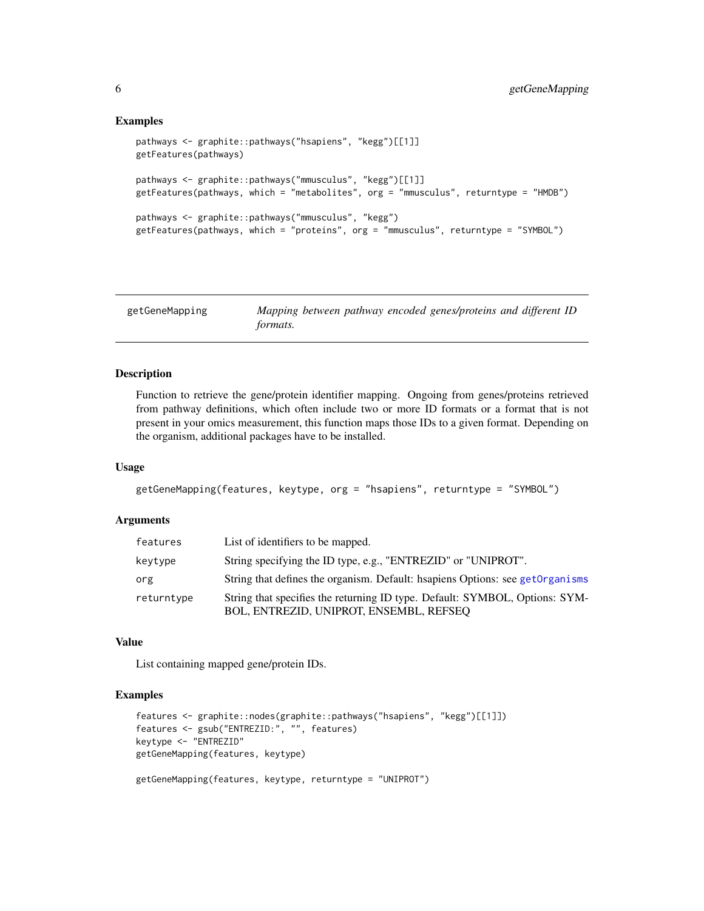#### Examples

```
pathways <- graphite::pathways("hsapiens", "kegg")[[1]]
getFeatures(pathways)
pathways <- graphite::pathways("mmusculus", "kegg")[[1]]
getFeatures(pathways, which = "metabolites", org = "mmusculus", returntype = "HMDB")
pathways <- graphite::pathways("mmusculus", "kegg")
getFeatures(pathways, which = "proteins", org = "mmusculus", returntype = "SYMBOL")
```

| getGeneMapping | Mapping between pathway encoded genes/proteins and different ID |
|----------------|-----------------------------------------------------------------|
|                | <i>formats.</i>                                                 |

#### Description

Function to retrieve the gene/protein identifier mapping. Ongoing from genes/proteins retrieved from pathway definitions, which often include two or more ID formats or a format that is not present in your omics measurement, this function maps those IDs to a given format. Depending on the organism, additional packages have to be installed.

#### Usage

```
getGeneMapping(features, keytype, org = "hsapiens", returntype = "SYMBOL")
```
#### **Arguments**

| features   | List of identifiers to be mapped.                                                                                      |
|------------|------------------------------------------------------------------------------------------------------------------------|
| kevtvpe    | String specifying the ID type, e.g., "ENTREZID" or "UNIPROT".                                                          |
| org        | String that defines the organism. Default: happiens Options: see get Organisms                                         |
| returntype | String that specifies the returning ID type. Default: SYMBOL, Options: SYM-<br>BOL, ENTREZID, UNIPROT, ENSEMBL, REFSEO |

#### Value

List containing mapped gene/protein IDs.

#### Examples

```
features <- graphite::nodes(graphite::pathways("hsapiens", "kegg")[[1]])
features <- gsub("ENTREZID:", "", features)
keytype <- "ENTREZID"
getGeneMapping(features, keytype)
getGeneMapping(features, keytype, returntype = "UNIPROT")
```
<span id="page-5-0"></span>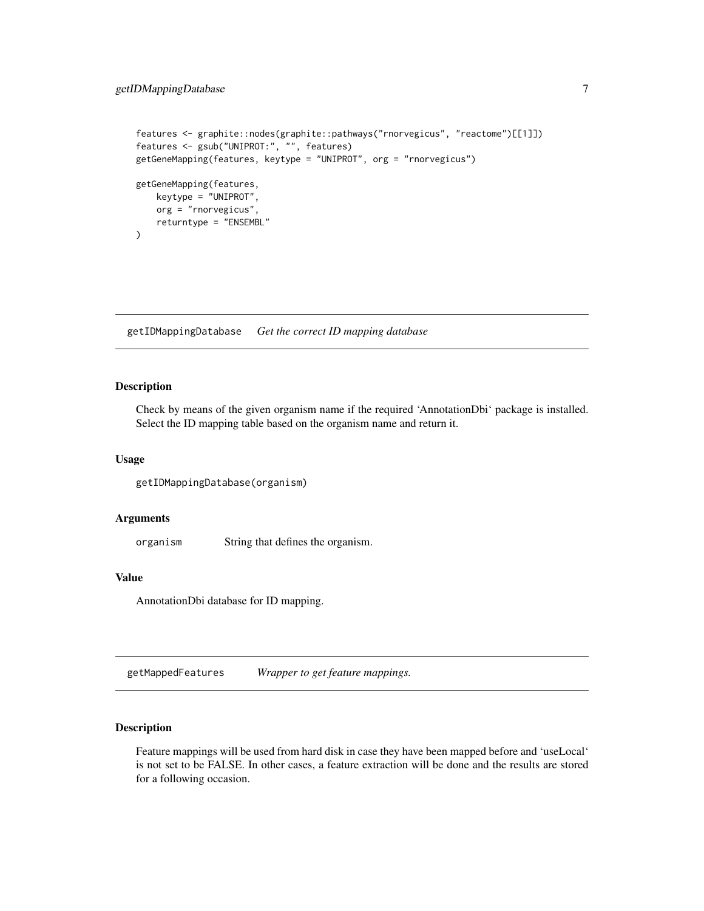```
features <- graphite::nodes(graphite::pathways("rnorvegicus", "reactome")[[1]])
features <- gsub("UNIPROT:", "", features)
getGeneMapping(features, keytype = "UNIPROT", org = "rnorvegicus")
getGeneMapping(features,
   keytype = "UNIPROT",
   org = "rnorvegicus",
   returntype = "ENSEMBL"
)
```
getIDMappingDatabase *Get the correct ID mapping database*

#### Description

Check by means of the given organism name if the required 'AnnotationDbi' package is installed. Select the ID mapping table based on the organism name and return it.

#### Usage

```
getIDMappingDatabase(organism)
```
#### Arguments

organism String that defines the organism.

#### Value

AnnotationDbi database for ID mapping.

getMappedFeatures *Wrapper to get feature mappings.*

#### Description

Feature mappings will be used from hard disk in case they have been mapped before and 'useLocal' is not set to be FALSE. In other cases, a feature extraction will be done and the results are stored for a following occasion.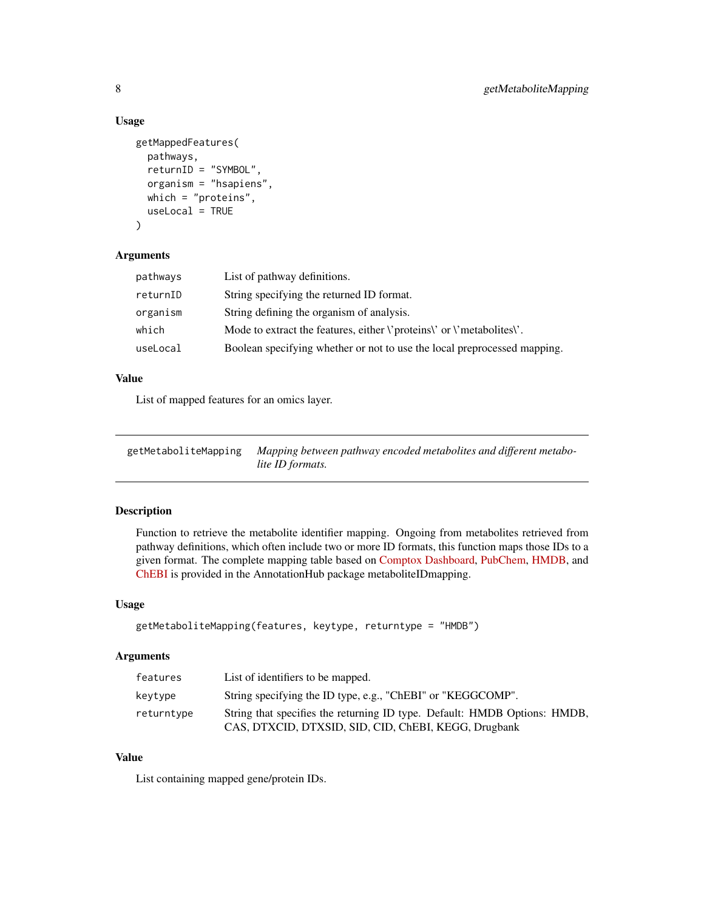#### Usage

```
getMappedFeatures(
 pathways,
  returnID = "SYMBOL",
  organism = "hsapiens",
 which = "proteins",
  useLocal = TRUE
)
```
#### Arguments

| pathways | List of pathway definitions.                                                          |
|----------|---------------------------------------------------------------------------------------|
| returnID | String specifying the returned ID format.                                             |
| organism | String defining the organism of analysis.                                             |
| which    | Mode to extract the features, either <i>\</i> 'proteins\' or <i>\</i> 'metabolites\'. |
| useLocal | Boolean specifying whether or not to use the local preprocessed mapping.              |

#### Value

List of mapped features for an omics layer.

| getMetaboliteMapping Mapping between pathway encoded metabolites and different metabo- |
|----------------------------------------------------------------------------------------|
| lite ID formats.                                                                       |

#### Description

Function to retrieve the metabolite identifier mapping. Ongoing from metabolites retrieved from pathway definitions, which often include two or more ID formats, this function maps those IDs to a given format. The complete mapping table based on [Comptox Dashboard,](https://comptox.epa.gov/dashboard) [PubChem,](https://pubchem.ncbi.nlm.nih.gov/) [HMDB,](https://hmdb.ca/) and [ChEBI](https://www.ebi.ac.uk/chebi) is provided in the AnnotationHub package metaboliteIDmapping.

#### Usage

```
getMetaboliteMapping(features, keytype, returntype = "HMDB")
```
#### Arguments

| features   | List of identifiers to be mapped.                                                                                                 |
|------------|-----------------------------------------------------------------------------------------------------------------------------------|
| kevtype    | String specifying the ID type, e.g., "ChEBI" or "KEGGCOMP".                                                                       |
| returntype | String that specifies the returning ID type. Default: HMDB Options: HMDB,<br>CAS, DTXCID, DTXSID, SID, CID, ChEBI, KEGG, Drugbank |

#### Value

List containing mapped gene/protein IDs.

<span id="page-7-0"></span>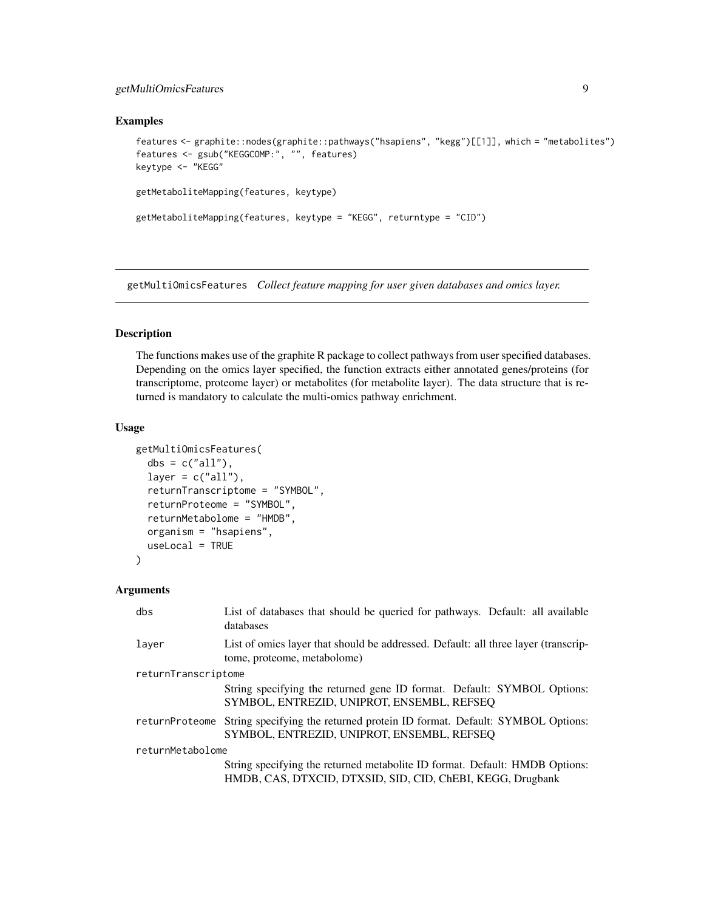#### <span id="page-8-0"></span>getMultiOmicsFeatures 9

#### Examples

```
features <- graphite::nodes(graphite::pathways("hsapiens", "kegg")[[1]], which = "metabolites")
features <- gsub("KEGGCOMP:", "", features)
keytype <- "KEGG"
getMetaboliteMapping(features, keytype)
getMetaboliteMapping(features, keytype = "KEGG", returntype = "CID")
```
getMultiOmicsFeatures *Collect feature mapping for user given databases and omics layer.*

#### Description

The functions makes use of the graphite R package to collect pathways from user specified databases. Depending on the omics layer specified, the function extracts either annotated genes/proteins (for transcriptome, proteome layer) or metabolites (for metabolite layer). The data structure that is returned is mandatory to calculate the multi-omics pathway enrichment.

#### Usage

```
getMultiOmicsFeatures(
  dbs = c("all"),layer = c("all"),returnTranscriptome = "SYMBOL",
  returnProteome = "SYMBOL",
  returnMetabolome = "HMDB",
  organism = "hsapiens",
  useLocal = TRUE
)
```
#### Arguments

| dbs                 | List of databases that should be queried for pathways. Default: all available<br>databases                                                |  |
|---------------------|-------------------------------------------------------------------------------------------------------------------------------------------|--|
| laver               | List of omics layer that should be addressed. Default: all three layer (transcrip-<br>tome, proteome, metabolome)                         |  |
| returnTranscriptome |                                                                                                                                           |  |
|                     | String specifying the returned gene ID format. Default: SYMBOL Options:<br>SYMBOL, ENTREZID, UNIPROT, ENSEMBL, REFSEQ                     |  |
| returnProteome      | String specifying the returned protein ID format. Default: SYMBOL Options:<br>SYMBOL, ENTREZID, UNIPROT, ENSEMBL, REFSEQ                  |  |
| returnMetabolome    |                                                                                                                                           |  |
|                     | String specifying the returned metabolite ID format. Default: HMDB Options:<br>HMDB, CAS, DTXCID, DTXSID, SID, CID, ChEBI, KEGG, Drugbank |  |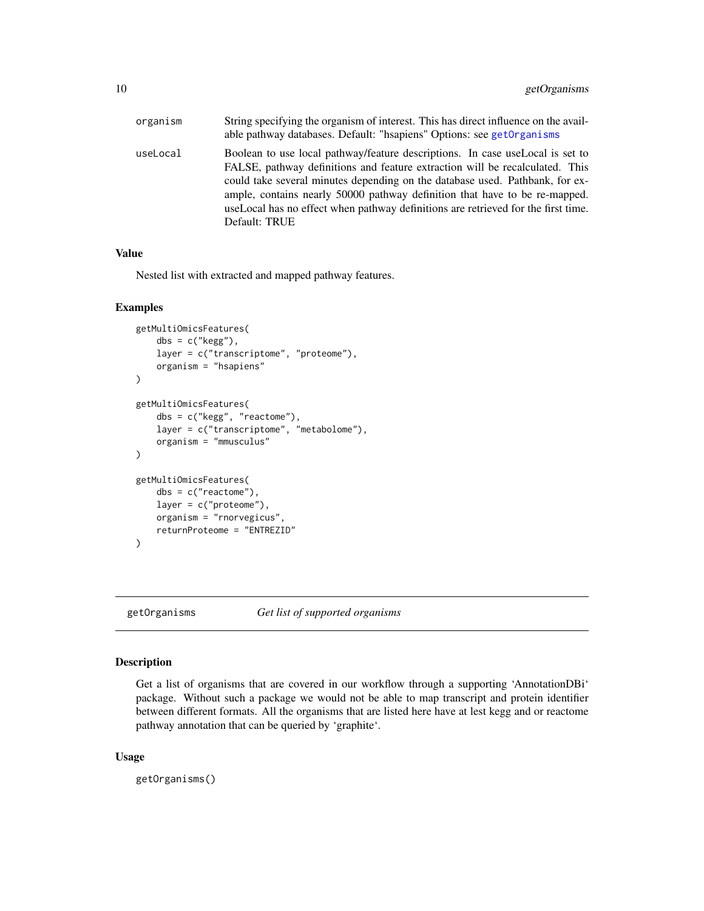<span id="page-9-0"></span>

| organism | String specifying the organism of interest. This has direct influence on the avail-<br>able pathway databases. Default: "hsapiens" Options: see getOrganisms                                                                                                                                                                                                                                                                       |
|----------|------------------------------------------------------------------------------------------------------------------------------------------------------------------------------------------------------------------------------------------------------------------------------------------------------------------------------------------------------------------------------------------------------------------------------------|
| useLocal | Boolean to use local pathway/feature descriptions. In case use Local is set to<br>FALSE, pathway definitions and feature extraction will be recalculated. This<br>could take several minutes depending on the database used. Pathbank, for ex-<br>ample, contains nearly 50000 pathway definition that have to be re-mapped.<br>useLocal has no effect when pathway definitions are retrieved for the first time.<br>Default: TRUE |

#### Value

Nested list with extracted and mapped pathway features.

#### Examples

```
getMultiOmicsFeatures(
    dbs = c("kegg"),
    layer = c("transcriptome", "proteome"),
    organism = "hsapiens"
)
getMultiOmicsFeatures(
    dbs = c("kegg", "reactome"),
    layer = c("transcriptome", "metabolome"),
    organism = "mmusculus"
)
getMultiOmicsFeatures(
    dbs = c("reactome"),
    layer = c("proteome"),
    organism = "rnorvegicus",
    returnProteome = "ENTREZID"
\mathcal{L}
```
<span id="page-9-1"></span>getOrganisms *Get list of supported organisms*

#### Description

Get a list of organisms that are covered in our workflow through a supporting 'AnnotationDBi' package. Without such a package we would not be able to map transcript and protein identifier between different formats. All the organisms that are listed here have at lest kegg and or reactome pathway annotation that can be queried by 'graphite'.

#### Usage

getOrganisms()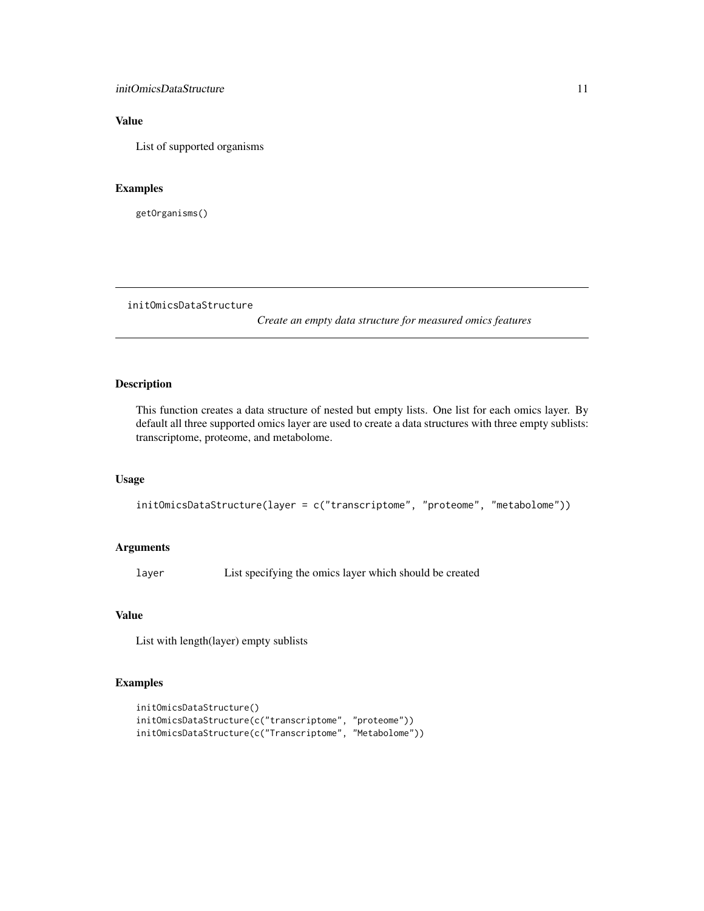#### <span id="page-10-0"></span>initOmicsDataStructure 11

#### Value

List of supported organisms

#### Examples

getOrganisms()

<span id="page-10-1"></span>initOmicsDataStructure

*Create an empty data structure for measured omics features*

#### Description

This function creates a data structure of nested but empty lists. One list for each omics layer. By default all three supported omics layer are used to create a data structures with three empty sublists: transcriptome, proteome, and metabolome.

#### Usage

```
initOmicsDataStructure(layer = c("transcriptome", "proteome", "metabolome"))
```
#### Arguments

layer List specifying the omics layer which should be created

#### Value

List with length(layer) empty sublists

#### Examples

```
initOmicsDataStructure()
initOmicsDataStructure(c("transcriptome", "proteome"))
initOmicsDataStructure(c("Transcriptome", "Metabolome"))
```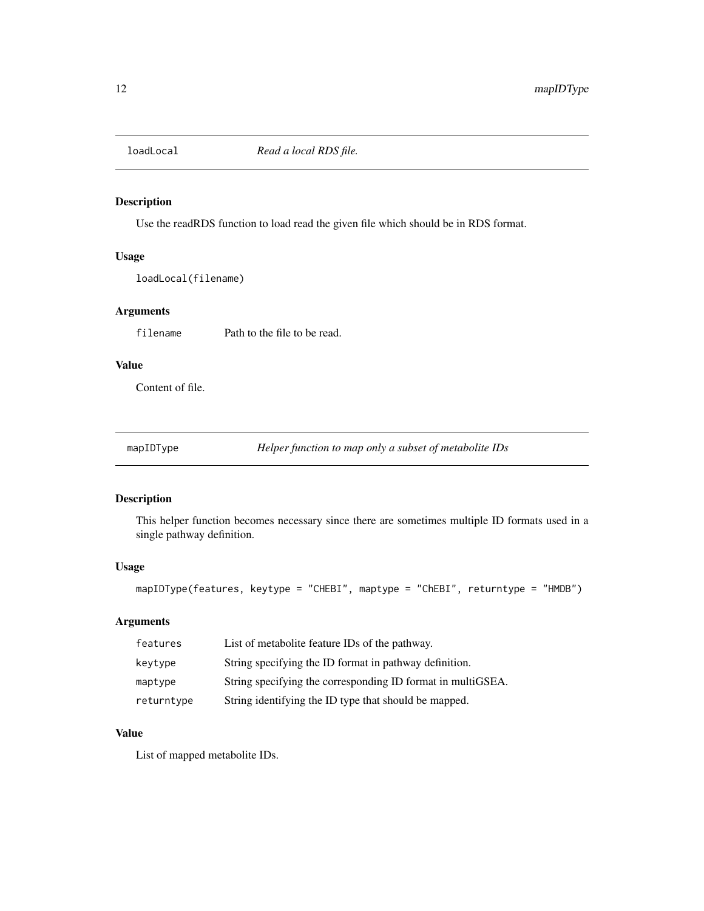<span id="page-11-0"></span>

#### Description

Use the readRDS function to load read the given file which should be in RDS format.

#### Usage

loadLocal(filename)

#### Arguments

filename Path to the file to be read.

#### Value

Content of file.

mapIDType *Helper function to map only a subset of metabolite IDs*

#### Description

This helper function becomes necessary since there are sometimes multiple ID formats used in a single pathway definition.

#### Usage

mapIDType(features, keytype = "CHEBI", maptype = "ChEBI", returntype = "HMDB")

#### Arguments

| features   | List of metabolite feature IDs of the pathway.              |
|------------|-------------------------------------------------------------|
| keytype    | String specifying the ID format in pathway definition.      |
| maptype    | String specifying the corresponding ID format in multiGSEA. |
| returntype | String identifying the ID type that should be mapped.       |

#### Value

List of mapped metabolite IDs.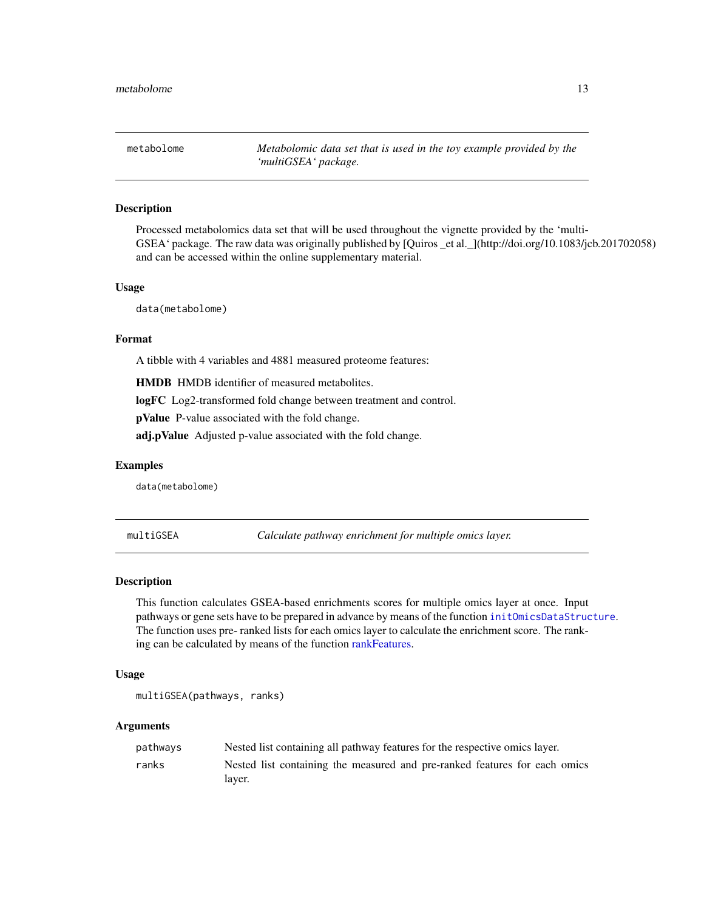<span id="page-12-0"></span>metabolome *Metabolomic data set that is used in the toy example provided by the 'multiGSEA' package.*

#### Description

Processed metabolomics data set that will be used throughout the vignette provided by the 'multi-GSEA' package. The raw data was originally published by [Quiros \_et al.\_](http://doi.org/10.1083/jcb.201702058) and can be accessed within the online supplementary material.

#### Usage

data(metabolome)

#### Format

A tibble with 4 variables and 4881 measured proteome features:

HMDB HMDB identifier of measured metabolites.

logFC Log2-transformed fold change between treatment and control.

pValue P-value associated with the fold change.

adj.pValue Adjusted p-value associated with the fold change.

#### Examples

data(metabolome)

multiGSEA *Calculate pathway enrichment for multiple omics layer.*

#### Description

This function calculates GSEA-based enrichments scores for multiple omics layer at once. Input pathways or gene sets have to be prepared in advance by means of the function [initOmicsDataStructure](#page-10-1). The function uses pre- ranked lists for each omics layer to calculate the enrichment score. The ranking can be calculated by means of the function [rankFeatures.](#page-14-1)

#### Usage

```
multiGSEA(pathways, ranks)
```
#### Arguments

| pathways | Nested list containing all pathway features for the respective omics layer. |
|----------|-----------------------------------------------------------------------------|
| ranks    | Nested list containing the measured and pre-ranked features for each omics  |
|          | laver.                                                                      |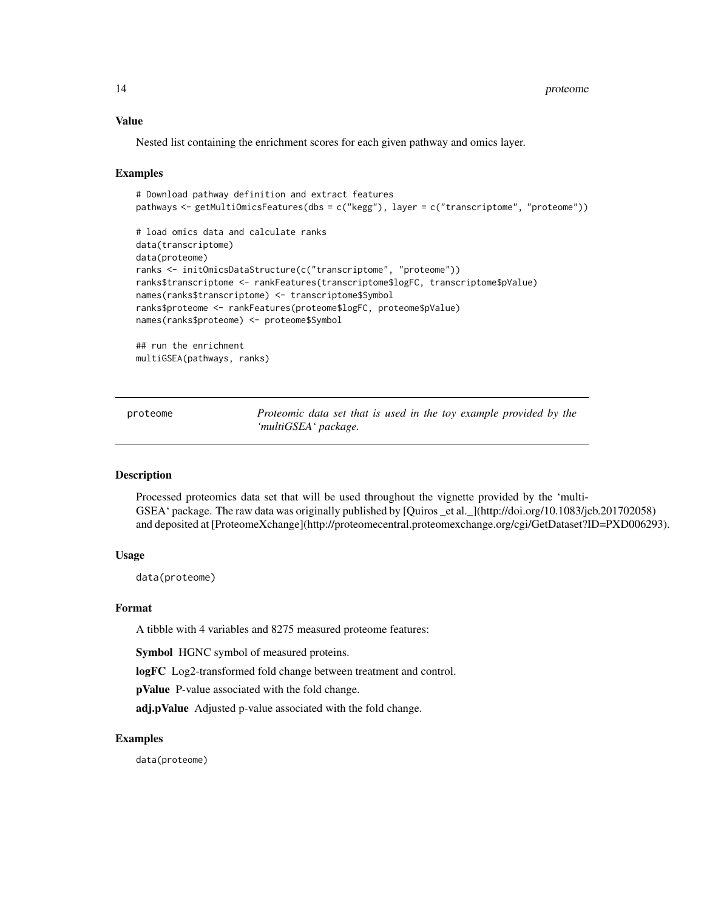#### <span id="page-13-0"></span>Value

Nested list containing the enrichment scores for each given pathway and omics layer.

#### Examples

```
# Download pathway definition and extract features
pathways <- getMultiOmicsFeatures(dbs = c("kegg"), layer = c("transcriptome", "proteome"))
# load omics data and calculate ranks
data(transcriptome)
data(proteome)
ranks <- initOmicsDataStructure(c("transcriptome", "proteome"))
ranks$transcriptome <- rankFeatures(transcriptome$logFC, transcriptome$pValue)
names(ranks$transcriptome) <- transcriptome$Symbol
ranks$proteome <- rankFeatures(proteome$logFC, proteome$pValue)
names(ranks$proteome) <- proteome$Symbol
## run the enrichment
```

```
multiGSEA(pathways, ranks)
```
proteome *Proteomic data set that is used in the toy example provided by the 'multiGSEA' package.*

#### Description

Processed proteomics data set that will be used throughout the vignette provided by the 'multi-GSEA' package. The raw data was originally published by [Quiros \_et al.\_](http://doi.org/10.1083/jcb.201702058) and deposited at [ProteomeXchange](http://proteomecentral.proteomexchange.org/cgi/GetDataset?ID=PXD006293).

#### Usage

data(proteome)

#### Format

A tibble with 4 variables and 8275 measured proteome features:

Symbol HGNC symbol of measured proteins.

logFC Log2-transformed fold change between treatment and control.

pValue P-value associated with the fold change.

adj.pValue Adjusted p-value associated with the fold change.

#### Examples

data(proteome)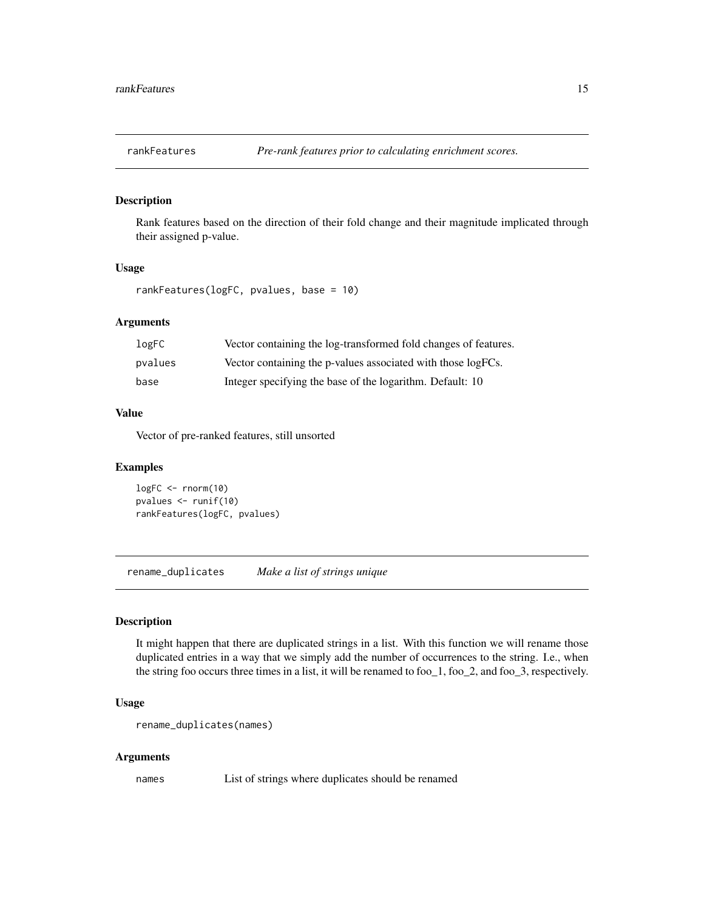<span id="page-14-1"></span><span id="page-14-0"></span>

#### Description

Rank features based on the direction of their fold change and their magnitude implicated through their assigned p-value.

#### Usage

```
rankFeatures(logFC, pvalues, base = 10)
```
#### Arguments

| logFC   | Vector containing the log-transformed fold changes of features. |
|---------|-----------------------------------------------------------------|
| pvalues | Vector containing the p-values associated with those logFCs.    |
| base    | Integer specifying the base of the logarithm. Default: 10       |

#### Value

Vector of pre-ranked features, still unsorted

#### Examples

logFC <- rnorm(10) pvalues <- runif(10) rankFeatures(logFC, pvalues)

rename\_duplicates *Make a list of strings unique*

#### Description

It might happen that there are duplicated strings in a list. With this function we will rename those duplicated entries in a way that we simply add the number of occurrences to the string. I.e., when the string foo occurs three times in a list, it will be renamed to foo  $\alpha$  = 1, foo  $\alpha$  2, and foo  $\alpha$  3, respectively.

#### Usage

```
rename_duplicates(names)
```
#### Arguments

names List of strings where duplicates should be renamed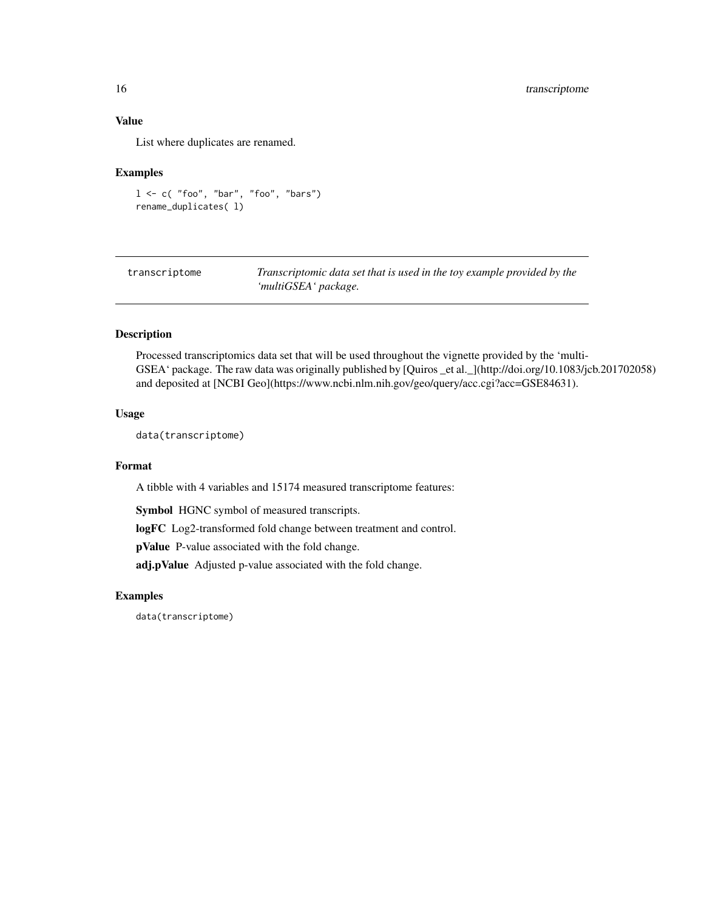#### <span id="page-15-0"></span>Value

List where duplicates are renamed.

#### Examples

```
1 \leq c ("foo", "bar", "foo", "bars")
rename_duplicates( l)
```
transcriptome *Transcriptomic data set that is used in the toy example provided by the 'multiGSEA' package.*

#### Description

Processed transcriptomics data set that will be used throughout the vignette provided by the 'multi-GSEA' package. The raw data was originally published by [Quiros \_et al.\_](http://doi.org/10.1083/jcb.201702058) and deposited at [NCBI Geo](https://www.ncbi.nlm.nih.gov/geo/query/acc.cgi?acc=GSE84631).

#### Usage

data(transcriptome)

#### Format

A tibble with 4 variables and 15174 measured transcriptome features:

Symbol HGNC symbol of measured transcripts.

logFC Log2-transformed fold change between treatment and control.

pValue P-value associated with the fold change.

adj.pValue Adjusted p-value associated with the fold change.

#### Examples

data(transcriptome)